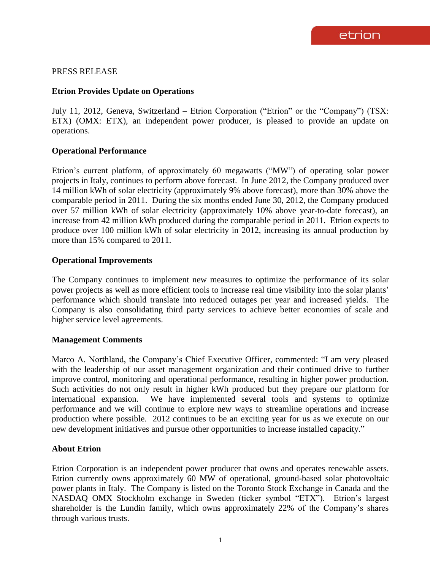## PRESS RELEASE

# **Etrion Provides Update on Operations**

July 11, 2012, Geneva, Switzerland – Etrion Corporation ("Etrion" or the "Company") (TSX: ETX) (OMX: ETX), an independent power producer, is pleased to provide an update on operations.

# **Operational Performance**

Etrion's current platform, of approximately 60 megawatts ("MW") of operating solar power projects in Italy, continues to perform above forecast. In June 2012, the Company produced over 14 million kWh of solar electricity (approximately 9% above forecast), more than 30% above the comparable period in 2011. During the six months ended June 30, 2012, the Company produced over 57 million kWh of solar electricity (approximately 10% above year-to-date forecast), an increase from 42 million kWh produced during the comparable period in 2011. Etrion expects to produce over 100 million kWh of solar electricity in 2012, increasing its annual production by more than 15% compared to 2011.

### **Operational Improvements**

The Company continues to implement new measures to optimize the performance of its solar power projects as well as more efficient tools to increase real time visibility into the solar plants' performance which should translate into reduced outages per year and increased yields. The Company is also consolidating third party services to achieve better economies of scale and higher service level agreements.

### **Management Comments**

Marco A. Northland, the Company's Chief Executive Officer, commented: "I am very pleased with the leadership of our asset management organization and their continued drive to further improve control, monitoring and operational performance, resulting in higher power production. Such activities do not only result in higher kWh produced but they prepare our platform for international expansion. We have implemented several tools and systems to optimize performance and we will continue to explore new ways to streamline operations and increase production where possible. 2012 continues to be an exciting year for us as we execute on our new development initiatives and pursue other opportunities to increase installed capacity."

### **About Etrion**

Etrion Corporation is an independent power producer that owns and operates renewable assets. Etrion currently owns approximately 60 MW of operational, ground-based solar photovoltaic power plants in Italy. The Company is listed on the Toronto Stock Exchange in Canada and the NASDAQ OMX Stockholm exchange in Sweden (ticker symbol "ETX"). Etrion's largest shareholder is the Lundin family, which owns approximately 22% of the Company's shares through various trusts.